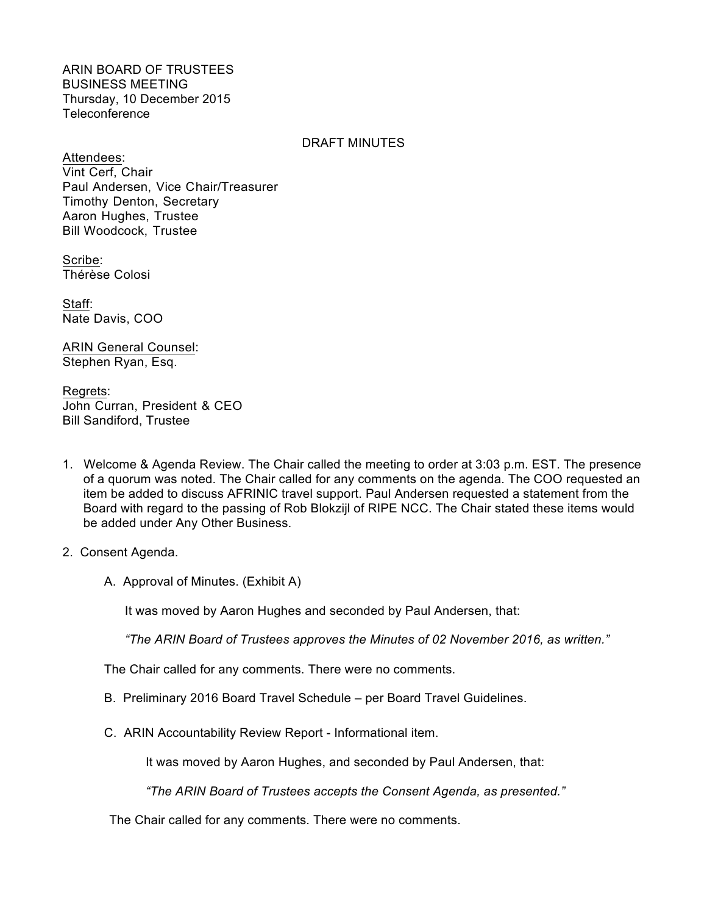ARIN BOARD OF TRUSTEES BUSINESS MEETING Thursday, 10 December 2015 Teleconference

## DRAFT MINUTES

Attendees: Vint Cerf, Chair Paul Andersen, Vice Chair/Treasurer Timothy Denton, Secretary Aaron Hughes, Trustee Bill Woodcock, Trustee

Scribe: Thérèse Colosi

Staff: Nate Davis, COO

ARIN General Counsel: Stephen Ryan, Esq.

Regrets: John Curran, President & CEO Bill Sandiford, Trustee

- 1. Welcome & Agenda Review. The Chair called the meeting to order at 3:03 p.m. EST. The presence of a quorum was noted. The Chair called for any comments on the agenda. The COO requested an item be added to discuss AFRINIC travel support. Paul Andersen requested a statement from the Board with regard to the passing of Rob Blokzijl of RIPE NCC. The Chair stated these items would be added under Any Other Business.
- 2. Consent Agenda.
	- A. Approval of Minutes. (Exhibit A)

It was moved by Aaron Hughes and seconded by Paul Andersen, that:

*"The ARIN Board of Trustees approves the Minutes of 02 November 2016, as written."*

The Chair called for any comments. There were no comments.

- B. Preliminary 2016 Board Travel Schedule per Board Travel Guidelines.
- C. ARIN Accountability Review Report Informational item.

It was moved by Aaron Hughes, and seconded by Paul Andersen, that:

*"The ARIN Board of Trustees accepts the Consent Agenda, as presented."*

The Chair called for any comments. There were no comments.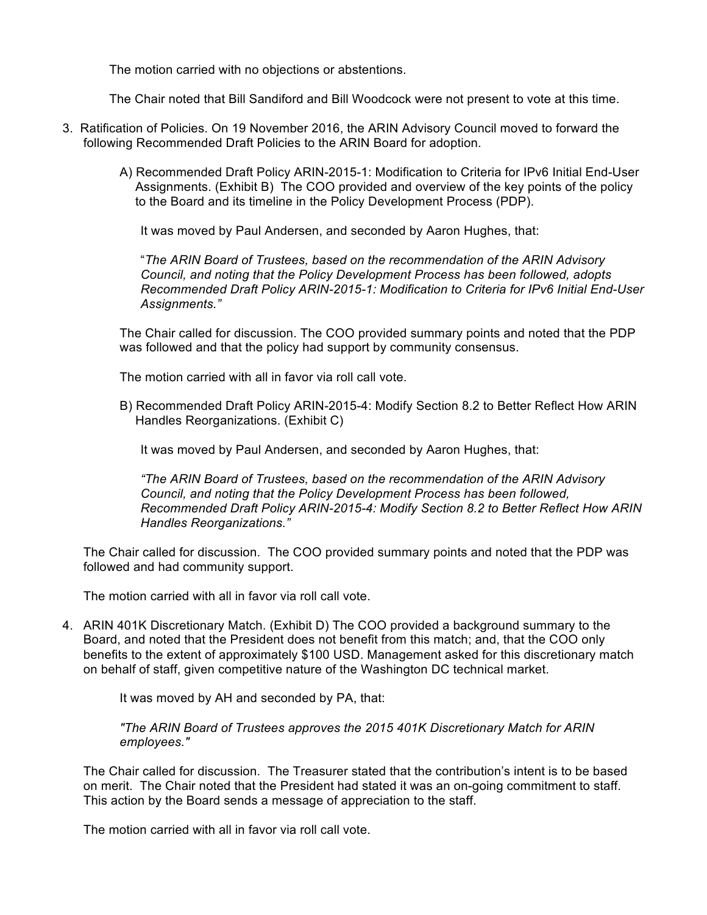The motion carried with no objections or abstentions.

The Chair noted that Bill Sandiford and Bill Woodcock were not present to vote at this time.

- 3. Ratification of Policies. On 19 November 2016, the ARIN Advisory Council moved to forward the following Recommended Draft Policies to the ARIN Board for adoption.
	- A) Recommended Draft Policy ARIN-2015-1: Modification to Criteria for IPv6 Initial End-User Assignments. (Exhibit B) The COO provided and overview of the key points of the policy to the Board and its timeline in the Policy Development Process (PDP).

It was moved by Paul Andersen, and seconded by Aaron Hughes, that:

"*The ARIN Board of Trustees, based on the recommendation of the ARIN Advisory Council, and noting that the Policy Development Process has been followed, adopts Recommended Draft Policy ARIN-2015-1: Modification to Criteria for IPv6 Initial End-User Assignments."*

The Chair called for discussion. The COO provided summary points and noted that the PDP was followed and that the policy had support by community consensus.

The motion carried with all in favor via roll call vote.

B) Recommended Draft Policy ARIN-2015-4: Modify Section 8.2 to Better Reflect How ARIN Handles Reorganizations. (Exhibit C)

It was moved by Paul Andersen, and seconded by Aaron Hughes, that:

*"The ARIN Board of Trustees, based on the recommendation of the ARIN Advisory Council, and noting that the Policy Development Process has been followed, Recommended Draft Policy ARIN-2015-4: Modify Section 8.2 to Better Reflect How ARIN Handles Reorganizations."*

The Chair called for discussion. The COO provided summary points and noted that the PDP was followed and had community support.

The motion carried with all in favor via roll call vote.

4. ARIN 401K Discretionary Match. (Exhibit D) The COO provided a background summary to the Board, and noted that the President does not benefit from this match; and, that the COO only benefits to the extent of approximately \$100 USD. Management asked for this discretionary match on behalf of staff, given competitive nature of the Washington DC technical market.

It was moved by AH and seconded by PA, that:

*"The ARIN Board of Trustees approves the 2015 401K Discretionary Match for ARIN employees."*

The Chair called for discussion. The Treasurer stated that the contribution's intent is to be based on merit. The Chair noted that the President had stated it was an on-going commitment to staff. This action by the Board sends a message of appreciation to the staff.

The motion carried with all in favor via roll call vote.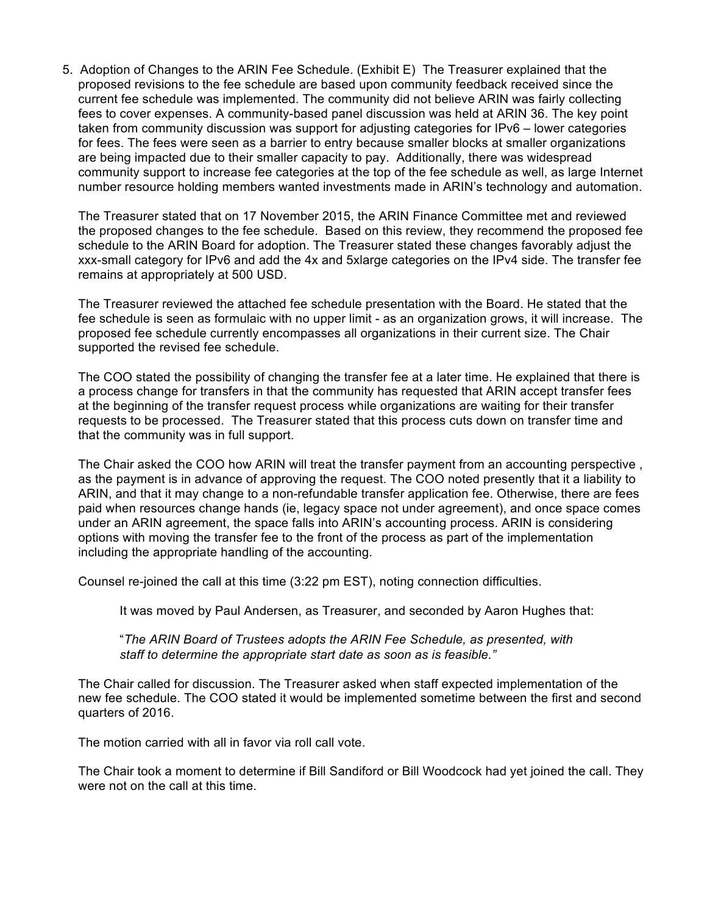5. Adoption of Changes to the ARIN Fee Schedule. (Exhibit E) The Treasurer explained that the proposed revisions to the fee schedule are based upon community feedback received since the current fee schedule was implemented. The community did not believe ARIN was fairly collecting fees to cover expenses. A community-based panel discussion was held at ARIN 36. The key point taken from community discussion was support for adjusting categories for IPv6 – lower categories for fees. The fees were seen as a barrier to entry because smaller blocks at smaller organizations are being impacted due to their smaller capacity to pay. Additionally, there was widespread community support to increase fee categories at the top of the fee schedule as well, as large Internet number resource holding members wanted investments made in ARIN's technology and automation.

The Treasurer stated that on 17 November 2015, the ARIN Finance Committee met and reviewed the proposed changes to the fee schedule. Based on this review, they recommend the proposed fee schedule to the ARIN Board for adoption. The Treasurer stated these changes favorably adjust the xxx-small category for IPv6 and add the 4x and 5xlarge categories on the IPv4 side. The transfer fee remains at appropriately at 500 USD.

The Treasurer reviewed the attached fee schedule presentation with the Board. He stated that the fee schedule is seen as formulaic with no upper limit - as an organization grows, it will increase. The proposed fee schedule currently encompasses all organizations in their current size. The Chair supported the revised fee schedule.

The COO stated the possibility of changing the transfer fee at a later time. He explained that there is a process change for transfers in that the community has requested that ARIN accept transfer fees at the beginning of the transfer request process while organizations are waiting for their transfer requests to be processed. The Treasurer stated that this process cuts down on transfer time and that the community was in full support.

The Chair asked the COO how ARIN will treat the transfer payment from an accounting perspective , as the payment is in advance of approving the request. The COO noted presently that it a liability to ARIN, and that it may change to a non-refundable transfer application fee. Otherwise, there are fees paid when resources change hands (ie, legacy space not under agreement), and once space comes under an ARIN agreement, the space falls into ARIN's accounting process. ARIN is considering options with moving the transfer fee to the front of the process as part of the implementation including the appropriate handling of the accounting.

Counsel re-joined the call at this time (3:22 pm EST), noting connection difficulties.

It was moved by Paul Andersen, as Treasurer, and seconded by Aaron Hughes that:

"*The ARIN Board of Trustees adopts the ARIN Fee Schedule, as presented, with staff to determine the appropriate start date as soon as is feasible."*

The Chair called for discussion. The Treasurer asked when staff expected implementation of the new fee schedule. The COO stated it would be implemented sometime between the first and second quarters of 2016.

The motion carried with all in favor via roll call vote.

The Chair took a moment to determine if Bill Sandiford or Bill Woodcock had yet joined the call. They were not on the call at this time.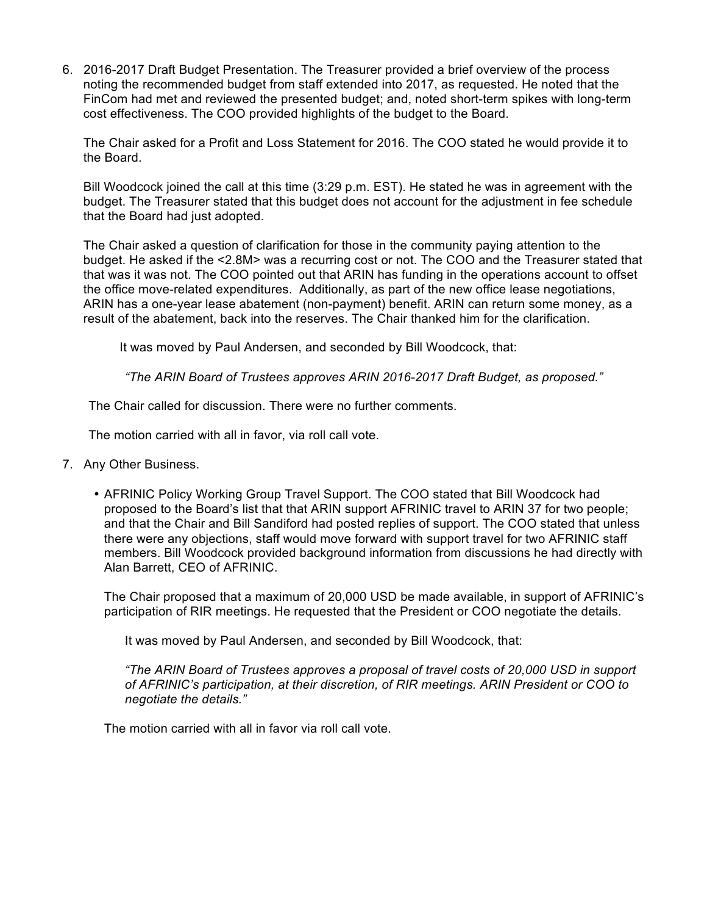6. 2016-2017 Draft Budget Presentation. The Treasurer provided a brief overview of the process noting the recommended budget from staff extended into 2017, as requested. He noted that the FinCom had met and reviewed the presented budget; and, noted short-term spikes with long-term cost effectiveness. The COO provided highlights of the budget to the Board.

The Chair asked for a Profit and Loss Statement for 2016. The COO stated he would provide it to the Board.

Bill Woodcock joined the call at this time (3:29 p.m. EST). He stated he was in agreement with the budget. The Treasurer stated that this budget does not account for the adjustment in fee schedule that the Board had just adopted.

The Chair asked a question of clarification for those in the community paying attention to the budget. He asked if the <2.8M> was a recurring cost or not. The COO and the Treasurer stated that that was it was not. The COO pointed out that ARIN has funding in the operations account to offset the office move-related expenditures. Additionally, as part of the new office lease negotiations, ARIN has a one-year lease abatement (non-payment) benefit. ARIN can return some money, as a result of the abatement, back into the reserves. The Chair thanked him for the clarification.

It was moved by Paul Andersen, and seconded by Bill Woodcock, that:

*"The ARIN Board of Trustees approves ARIN 2016-2017 Draft Budget, as proposed."*

The Chair called for discussion. There were no further comments.

The motion carried with all in favor, via roll call vote.

- 7. Any Other Business.
	- AFRINIC Policy Working Group Travel Support. The COO stated that Bill Woodcock had proposed to the Board's list that that ARIN support AFRINIC travel to ARIN 37 for two people; and that the Chair and Bill Sandiford had posted replies of support. The COO stated that unless there were any objections, staff would move forward with support travel for two AFRINIC staff members. Bill Woodcock provided background information from discussions he had directly with Alan Barrett, CEO of AFRINIC.

The Chair proposed that a maximum of 20,000 USD be made available, in support of AFRINIC's participation of RIR meetings. He requested that the President or COO negotiate the details.

It was moved by Paul Andersen, and seconded by Bill Woodcock, that:

*"The ARIN Board of Trustees approves a proposal of travel costs of 20,000 USD in support of AFRINIC's participation, at their discretion, of RIR meetings. ARIN President or COO to negotiate the details."*

The motion carried with all in favor via roll call vote.